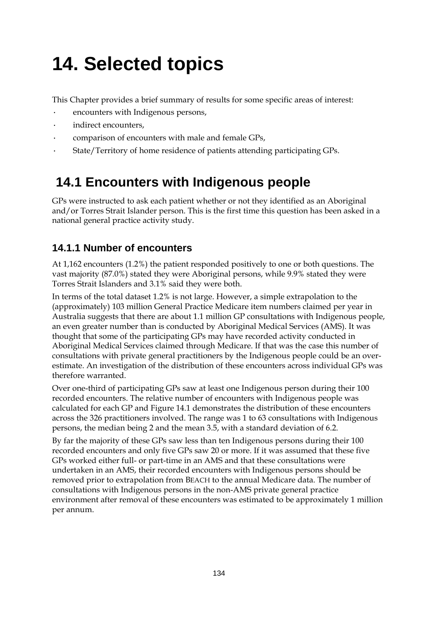# **14. Selected topics**

This Chapter provides a brief summary of results for some specific areas of interest:

- · encounters with Indigenous persons,
- indirect encounters,
- · comparison of encounters with male and female GPs,
- State/Territory of home residence of patients attending participating GPs.

## **14.1 Encounters with Indigenous people**

GPs were instructed to ask each patient whether or not they identified as an Aboriginal and/or Torres Strait Islander person. This is the first time this question has been asked in a national general practice activity study.

### **14.1.1 Number of encounters**

At 1,162 encounters (1.2%) the patient responded positively to one or both questions. The vast majority (87.0%) stated they were Aboriginal persons, while 9.9% stated they were Torres Strait Islanders and 3.1% said they were both.

In terms of the total dataset 1.2% is not large. However, a simple extrapolation to the (approximately) 103 million General Practice Medicare item numbers claimed per year in Australia suggests that there are about 1.1 million GP consultations with Indigenous people, an even greater number than is conducted by Aboriginal Medical Services (AMS). It was thought that some of the participating GPs may have recorded activity conducted in Aboriginal Medical Services claimed through Medicare. If that was the case this number of consultations with private general practitioners by the Indigenous people could be an overestimate. An investigation of the distribution of these encounters across individual GPs was therefore warranted.

Over one-third of participating GPs saw at least one Indigenous person during their 100 recorded encounters. The relative number of encounters with Indigenous people was calculated for each GP and Figure 14.1 demonstrates the distribution of these encounters across the 326 practitioners involved. The range was 1 to 63 consultations with Indigenous persons, the median being 2 and the mean 3.5, with a standard deviation of 6.2.

By far the majority of these GPs saw less than ten Indigenous persons during their 100 recorded encounters and only five GPs saw 20 or more. If it was assumed that these five GPs worked either full- or part-time in an AMS and that these consultations were undertaken in an AMS, their recorded encounters with Indigenous persons should be removed prior to extrapolation from BEACH to the annual Medicare data. The number of consultations with Indigenous persons in the non-AMS private general practice environment after removal of these encounters was estimated to be approximately 1 million per annum.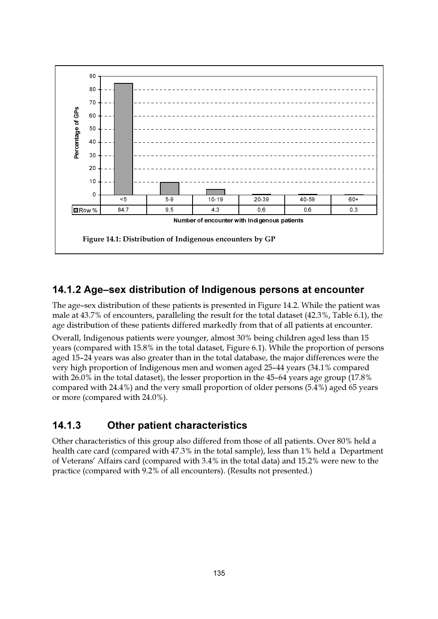

### 14.1.2 Age-sex distribution of Indigenous persons at encounter

The age-sex distribution of these patients is presented in Figure 14.2. While the patient was male at 43.7% of encounters, paralleling the result for the total dataset (42.3%, Table 6.1), the age distribution of these patients differed markedly from that of all patients at encounter.

Overall, Indigenous patients were younger, almost 30% being children aged less than 15 years (compared with 15.8% in the total dataset, Figure 6.1). While the proportion of persons aged 15-24 years was also greater than in the total database, the major differences were the very high proportion of Indigenous men and women aged 25-44 years (34.1% compared with 26.0% in the total dataset), the lesser proportion in the 45-64 years age group (17.8% compared with 24.4%) and the very small proportion of older persons (5.4%) aged 65 years or more (compared with 24.0%).

#### $14.1.3$ **Other patient characteristics**

Other characteristics of this group also differed from those of all patients. Over 80% held a health care card (compared with 47.3% in the total sample), less than 1% held a Department of Veterans' Affairs card (compared with 3.4% in the total data) and 15.2% were new to the practice (compared with 9.2% of all encounters). (Results not presented.)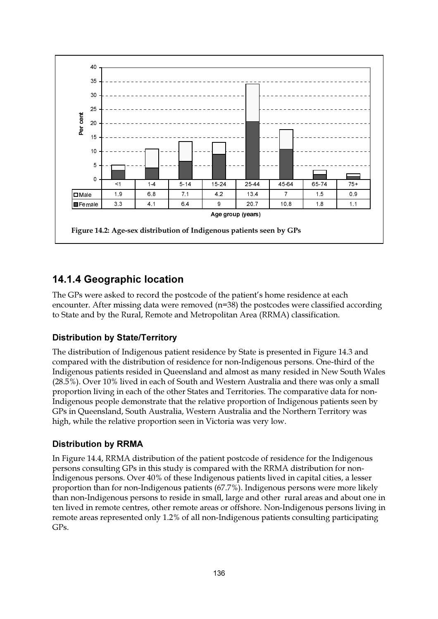

### 14.1.4 Geographic location

The GPs were asked to record the postcode of the patient's home residence at each encounter. After missing data were removed  $(n=38)$  the postcodes were classified according to State and by the Rural, Remote and Metropolitan Area (RRMA) classification.

### **Distribution by State/Territory**

The distribution of Indigenous patient residence by State is presented in Figure 14.3 and compared with the distribution of residence for non-Indigenous persons. One-third of the Indigenous patients resided in Queensland and almost as many resided in New South Wales (28.5%). Over 10% lived in each of South and Western Australia and there was only a small proportion living in each of the other States and Territories. The comparative data for non-Indigenous people demonstrate that the relative proportion of Indigenous patients seen by GPs in Queensland, South Australia, Western Australia and the Northern Territory was high, while the relative proportion seen in Victoria was very low.

### **Distribution by RRMA**

In Figure 14.4, RRMA distribution of the patient postcode of residence for the Indigenous persons consulting GPs in this study is compared with the RRMA distribution for non-Indigenous persons. Over 40% of these Indigenous patients lived in capital cities, a lesser proportion than for non-Indigenous patients (67.7%). Indigenous persons were more likely than non-Indigenous persons to reside in small, large and other rural areas and about one in ten lived in remote centres, other remote areas or offshore. Non-Indigenous persons living in remote areas represented only 1.2% of all non-Indigenous patients consulting participating GPs.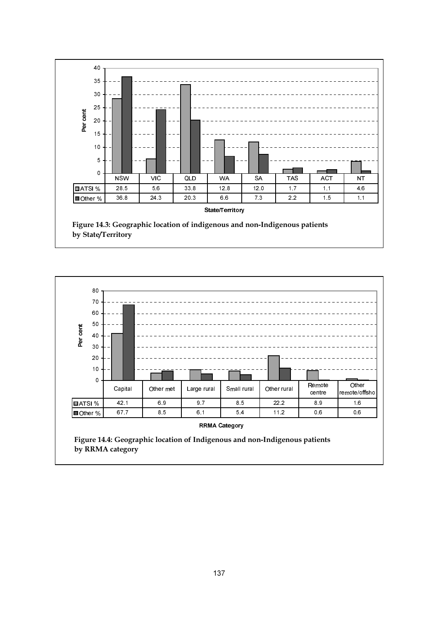

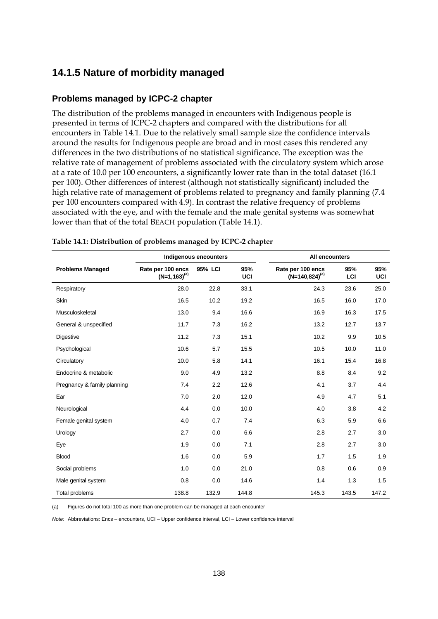### **14.1.5 Nature of morbidity managed**

### **Problems managed by ICPC-2 chapter**

The distribution of the problems managed in encounters with Indigenous people is presented in terms of ICPC-2 chapters and compared with the distributions for all encounters in Table 14.1. Due to the relatively small sample size the confidence intervals around the results for Indigenous people are broad and in most cases this rendered any differences in the two distributions of no statistical significance. The exception was the relative rate of management of problems associated with the circulatory system which arose at a rate of 10.0 per 100 encounters, a significantly lower rate than in the total dataset (16.1 per 100). Other differences of interest (although not statistically significant) included the high relative rate of management of problems related to pregnancy and family planning (7.4 per 100 encounters compared with 4.9). In contrast the relative frequency of problems associated with the eye, and with the female and the male genital systems was somewhat lower than that of the total BEACH population (Table 14.1).

|                             |                                        | Indigenous encounters |            | <b>All encounters</b>                    |            |            |  |
|-----------------------------|----------------------------------------|-----------------------|------------|------------------------------------------|------------|------------|--|
| <b>Problems Managed</b>     | Rate per 100 encs<br>$(N=1,163)^{(a)}$ | 95% LCI               | 95%<br>UCI | Rate per 100 encs<br>$(N=140,824)^{(a)}$ | 95%<br>LCI | 95%<br>UCI |  |
| Respiratory                 | 28.0                                   | 22.8                  | 33.1       | 24.3                                     | 23.6       | 25.0       |  |
| Skin                        | 16.5                                   | 10.2                  | 19.2       | 16.5                                     | 16.0       | 17.0       |  |
| Musculoskeletal             | 13.0                                   | 9.4                   | 16.6       | 16.9                                     | 16.3       | 17.5       |  |
| General & unspecified       | 11.7                                   | 7.3                   | 16.2       | 13.2                                     | 12.7       | 13.7       |  |
| <b>Digestive</b>            | 11.2                                   | 7.3                   | 15.1       | 10.2                                     | 9.9        | 10.5       |  |
| Psychological               | 10.6                                   | 5.7                   | 15.5       | 10.5                                     | 10.0       | 11.0       |  |
| Circulatory                 | 10.0                                   | 5.8                   | 14.1       | 16.1                                     | 15.4       | 16.8       |  |
| Endocrine & metabolic       | 9.0                                    | 4.9                   | 13.2       | 8.8                                      | 8.4        | 9.2        |  |
| Pregnancy & family planning | 7.4                                    | 2.2                   | 12.6       | 4.1                                      | 3.7        | 4.4        |  |
| Ear                         | 7.0                                    | 2.0                   | 12.0       | 4.9                                      | 4.7        | 5.1        |  |
| Neurological                | 4.4                                    | 0.0                   | 10.0       | 4.0                                      | 3.8        | 4.2        |  |
| Female genital system       | 4.0                                    | 0.7                   | 7.4        | 6.3                                      | 5.9        | 6.6        |  |
| Urology                     | 2.7                                    | 0.0                   | 6.6        | 2.8                                      | 2.7        | 3.0        |  |
| Eye                         | 1.9                                    | 0.0                   | 7.1        | 2.8                                      | 2.7        | 3.0        |  |
| <b>Blood</b>                | 1.6                                    | 0.0                   | 5.9        | 1.7                                      | 1.5        | 1.9        |  |
| Social problems             | 1.0                                    | 0.0                   | 21.0       | 0.8                                      | 0.6        | 0.9        |  |
| Male genital system         | 0.8                                    | 0.0                   | 14.6       | 1.4                                      | 1.3        | 1.5        |  |
| Total problems              | 138.8                                  | 132.9                 | 144.8      | 145.3                                    | 143.5      | 147.2      |  |

#### **Table 14.1: Distribution of problems managed by ICPC-2 chapter**

(a) Figures do not total 100 as more than one problem can be managed at each encounter

*Note:* Abbreviations: Encs – encounters, UCI – Upper confidence interval, LCI – Lower confidence interval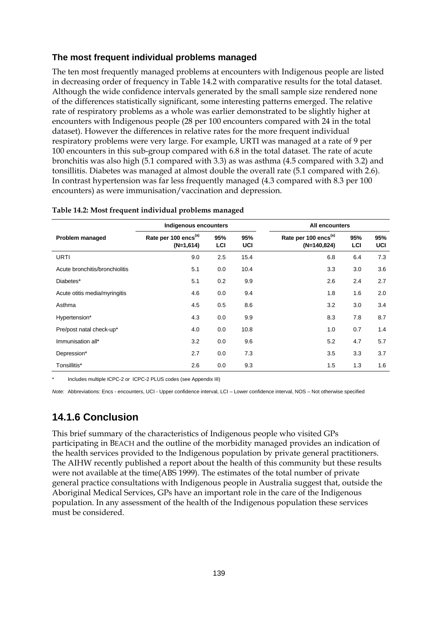### **The most frequent individual problems managed**

The ten most frequently managed problems at encounters with Indigenous people are listed in decreasing order of frequency in Table 14.2 with comparative results for the total dataset. Although the wide confidence intervals generated by the small sample size rendered none of the differences statistically significant, some interesting patterns emerged. The relative rate of respiratory problems as a whole was earlier demonstrated to be slightly higher at encounters with Indigenous people (28 per 100 encounters compared with 24 in the total dataset). However the differences in relative rates for the more frequent individual respiratory problems were very large. For example, URTI was managed at a rate of 9 per 100 encounters in this sub-group compared with 6.8 in the total dataset. The rate of acute bronchitis was also high (5.1 compared with 3.3) as was asthma (4.5 compared with 3.2) and tonsillitis. Diabetes was managed at almost double the overall rate (5.1 compared with 2.6). In contrast hypertension was far less frequently managed (4.3 compared with 8.3 per 100 encounters) as were immunisation/vaccination and depression.

|                                | Indigenous encounters                           |            |            | All encounters                                    |            |            |  |  |
|--------------------------------|-------------------------------------------------|------------|------------|---------------------------------------------------|------------|------------|--|--|
| Problem managed                | Rate per 100 encs <sup>(a)</sup><br>$(N=1,614)$ | 95%<br>LCI | 95%<br>UCI | Rate per 100 encs <sup>(a)</sup><br>$(N=140,824)$ | 95%<br>LCI | 95%<br>UCI |  |  |
| <b>URTI</b>                    | 9.0                                             | 2.5        | 15.4       | 6.8                                               | 6.4        | 7.3        |  |  |
| Acute bronchitis/bronchiolitis | 5.1                                             | 0.0        | 10.4       | 3.3                                               | 3.0        | 3.6        |  |  |
| Diabetes*                      | 5.1                                             | 0.2        | 9.9        | 2.6                                               | 2.4        | 2.7        |  |  |
| Acute otitis media/myringitis  | 4.6                                             | 0.0        | 9.4        | 1.8                                               | 1.6        | 2.0        |  |  |
| Asthma                         | 4.5                                             | 0.5        | 8.6        | 3.2                                               | 3.0        | 3.4        |  |  |
| Hypertension*                  | 4.3                                             | 0.0        | 9.9        | 8.3                                               | 7.8        | 8.7        |  |  |
| Pre/post natal check-up*       | 4.0                                             | 0.0        | 10.8       | 1.0                                               | 0.7        | 1.4        |  |  |
| Immunisation all*              | 3.2                                             | 0.0        | 9.6        | 5.2                                               | 4.7        | 5.7        |  |  |
| Depression*                    | 2.7                                             | 0.0        | 7.3        | 3.5                                               | 3.3        | 3.7        |  |  |
| Tonsillitis*                   | 2.6                                             | 0.0        | 9.3        | 1.5                                               | 1.3        | 1.6        |  |  |

**Table 14.2: Most frequent individual problems managed**

Includes multiple ICPC-2 or ICPC-2 PLUS codes (see Appendix III)

*Note:* Abbreviations: Encs - encounters, UCI - Upper confidence interval, LCI – Lower confidence interval, NOS – Not otherwise specified

### **14.1.6 Conclusion**

This brief summary of the characteristics of Indigenous people who visited GPs participating in BEACH and the outline of the morbidity managed provides an indication of the health services provided to the Indigenous population by private general practitioners. The AIHW recently published a report about the health of this community but these results were not available at the time(ABS 1999). The estimates of the total number of private general practice consultations with Indigenous people in Australia suggest that, outside the Aboriginal Medical Services, GPs have an important role in the care of the Indigenous population. In any assessment of the health of the Indigenous population these services must be considered.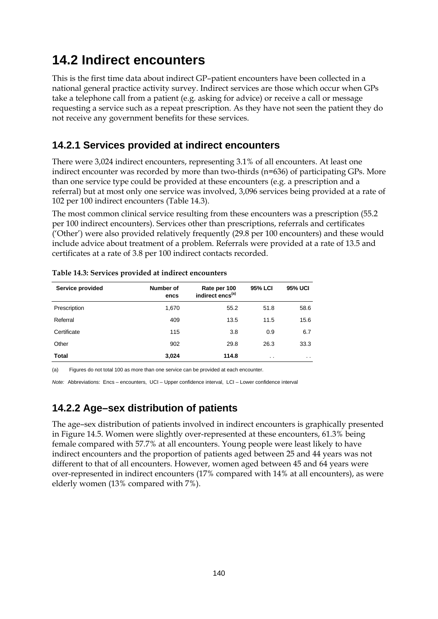## **14.2 Indirect encounters**

This is the first time data about indirect GP–patient encounters have been collected in a national general practice activity survey. Indirect services are those which occur when GPs take a telephone call from a patient (e.g. asking for advice) or receive a call or message requesting a service such as a repeat prescription. As they have not seen the patient they do not receive any government benefits for these services.

## **14.2.1 Services provided at indirect encounters**

There were 3,024 indirect encounters, representing 3.1% of all encounters. At least one indirect encounter was recorded by more than two-thirds (n=636) of participating GPs. More than one service type could be provided at these encounters (e.g. a prescription and a referral) but at most only one service was involved, 3,096 services being provided at a rate of 102 per 100 indirect encounters (Table 14.3).

The most common clinical service resulting from these encounters was a prescription (55.2 per 100 indirect encounters). Services other than prescriptions, referrals and certificates ('Other') were also provided relatively frequently (29.8 per 100 encounters) and these would include advice about treatment of a problem. Referrals were provided at a rate of 13.5 and certificates at a rate of 3.8 per 100 indirect contacts recorded.

| Service provided | Number of<br>encs | Rate per 100<br>indirect encs <sup>(a)</sup> | 95% LCI   | <b>95% UCI</b>  |
|------------------|-------------------|----------------------------------------------|-----------|-----------------|
| Prescription     | 1,670             | 55.2                                         | 51.8      | 58.6            |
| Referral         | 409               | 13.5                                         | 11.5      | 15.6            |
| Certificate      | 115               | 3.8                                          | 0.9       | 6.7             |
| Other            | 902               | 29.8                                         | 26.3      | 33.3            |
| <b>Total</b>     | 3,024             | 114.8                                        | $\cdot$ . | $\cdot$ $\cdot$ |
|                  |                   |                                              |           |                 |

|  |  | Table 14.3: Services provided at indirect encounters |
|--|--|------------------------------------------------------|
|  |  |                                                      |

(a) Figures do not total 100 as more than one service can be provided at each encounter.

*Note:* Abbreviations: Encs – encounters, UCI – Upper confidence interval, LCI – Lower confidence interval

### **14.2.2 Age–sex distribution of patients**

The age–sex distribution of patients involved in indirect encounters is graphically presented in Figure 14.5. Women were slightly over-represented at these encounters, 61.3% being female compared with 57.7% at all encounters. Young people were least likely to have indirect encounters and the proportion of patients aged between 25 and 44 years was not different to that of all encounters. However, women aged between 45 and 64 years were over-represented in indirect encounters (17% compared with 14% at all encounters), as were elderly women (13% compared with 7%).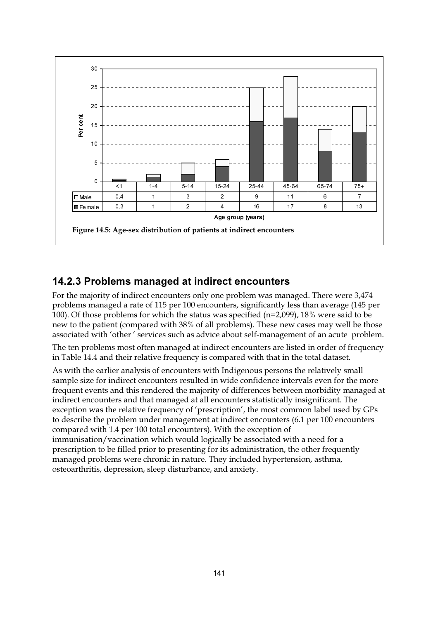

### 14.2.3 Problems managed at indirect encounters

For the majority of indirect encounters only one problem was managed. There were 3,474 problems managed a rate of 115 per 100 encounters, significantly less than average (145 per 100). Of those problems for which the status was specified (n=2,099), 18% were said to be new to the patient (compared with 38% of all problems). These new cases may well be those associated with 'other' services such as advice about self-management of an acute problem.

The ten problems most often managed at indirect encounters are listed in order of frequency in Table 14.4 and their relative frequency is compared with that in the total dataset.

As with the earlier analysis of encounters with Indigenous persons the relatively small sample size for indirect encounters resulted in wide confidence intervals even for the more frequent events and this rendered the majority of differences between morbidity managed at indirect encounters and that managed at all encounters statistically insignificant. The exception was the relative frequency of 'prescription', the most common label used by GPs to describe the problem under management at indirect encounters (6.1 per 100 encounters compared with 1.4 per 100 total encounters). With the exception of immunisation/vaccination which would logically be associated with a need for a prescription to be filled prior to presenting for its administration, the other frequently managed problems were chronic in nature. They included hypertension, asthma, osteoarthritis, depression, sleep disturbance, and anxiety.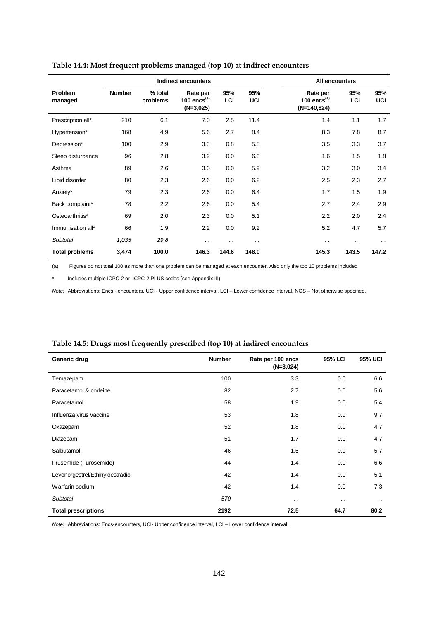|                       | <b>Indirect encounters</b> |                     |                                           |            | All encounters |                                               |            |                      |
|-----------------------|----------------------------|---------------------|-------------------------------------------|------------|----------------|-----------------------------------------------|------------|----------------------|
| Problem<br>managed    | <b>Number</b>              | % total<br>problems | Rate per<br>100 encs $(a)$<br>$(N=3,025)$ | 95%<br>LCI | 95%<br>UCI     | Rate per<br>100 $encs^{(a)}$<br>$(N=140,824)$ | 95%<br>LCI | 95%<br>UCI           |
| Prescription all*     | 210                        | 6.1                 | 7.0                                       | 2.5        | 11.4           | 1.4                                           | 1.1        | 1.7                  |
| Hypertension*         | 168                        | 4.9                 | 5.6                                       | 2.7        | 8.4            | 8.3                                           | 7.8        | 8.7                  |
| Depression*           | 100                        | 2.9                 | 3.3                                       | 0.8        | 5.8            | 3.5                                           | 3.3        | 3.7                  |
| Sleep disturbance     | 96                         | 2.8                 | 3.2                                       | 0.0        | 6.3            | 1.6                                           | 1.5        | 1.8                  |
| Asthma                | 89                         | 2.6                 | 3.0                                       | 0.0        | 5.9            | 3.2                                           | 3.0        | 3.4                  |
| Lipid disorder        | 80                         | 2.3                 | 2.6                                       | 0.0        | 6.2            | 2.5                                           | 2.3        | 2.7                  |
| Anxiety*              | 79                         | 2.3                 | 2.6                                       | 0.0        | 6.4            | 1.7                                           | 1.5        | 1.9                  |
| Back complaint*       | 78                         | 2.2                 | 2.6                                       | 0.0        | 5.4            | 2.7                                           | 2.4        | 2.9                  |
| Osteoarthritis*       | 69                         | 2.0                 | 2.3                                       | 0.0        | 5.1            | 2.2                                           | 2.0        | 2.4                  |
| Immunisation all*     | 66                         | 1.9                 | 2.2                                       | 0.0        | 9.2            | 5.2                                           | 4.7        | 5.7                  |
| <b>Subtotal</b>       | 1,035                      | 29.8                | $\sim$                                    | . .        | $\sim$ $\sim$  | . .                                           | $\cdot$ .  | $\ddot{\phantom{a}}$ |
| <b>Total problems</b> | 3,474                      | 100.0               | 146.3                                     | 144.6      | 148.0          | 145.3                                         | 143.5      | 147.2                |

#### **Table 14.4: Most frequent problems managed (top 10) at indirect encounters**

(a) Figures do not total 100 as more than one problem can be managed at each encounter. Also only the top 10 problems included

\* Includes multiple ICPC-2 or ICPC-2 PLUS codes (see Appendix III)

J.

*Note:* Abbreviations: Encs - encounters, UCI - Upper confidence interval, LCI – Lower confidence interval, NOS – Not otherwise specified.

| Generic drug                     | <b>Number</b> | Rate per 100 encs<br>$(N=3,024)$ | <b>95% LCI</b>       | 95% UCI       |
|----------------------------------|---------------|----------------------------------|----------------------|---------------|
| Temazepam                        | 100           | 3.3                              | 0.0                  | 6.6           |
| Paracetamol & codeine            | 82            | 2.7                              | 0.0                  | 5.6           |
| Paracetamol                      | 58            | 1.9                              | 0.0                  | 5.4           |
| Influenza virus vaccine          | 53            | 1.8                              | 0.0                  | 9.7           |
| Oxazepam                         | 52            | 1.8                              | 0.0                  | 4.7           |
| Diazepam                         | 51            | 1.7                              | 0.0                  | 4.7           |
| Salbutamol                       | 46            | 1.5                              | 0.0                  | 5.7           |
| Frusemide (Furosemide)           | 44            | 1.4                              | 0.0                  | 6.6           |
| Levonorgestrel/Ethinyloestradiol | 42            | 1.4                              | 0.0                  | 5.1           |
| Warfarin sodium                  | 42            | 1.4                              | 0.0                  | 7.3           |
| <b>Subtotal</b>                  | 570           | $\sim$ $\sim$                    | $\ddot{\phantom{0}}$ | $\sim$ $\sim$ |
| <b>Total prescriptions</b>       | 2192          | 72.5                             | 64.7                 | 80.2          |

#### **Table 14.5: Drugs most frequently prescribed (top 10) at indirect encounters**

*Note:* Abbreviations: Encs-encounters, UCI- Upper confidence interval, LCI – Lower confidence interval*,*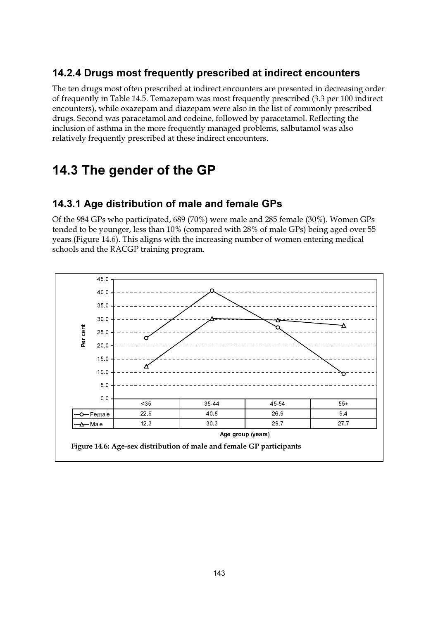## 14.2.4 Drugs most frequently prescribed at indirect encounters

The ten drugs most often prescribed at indirect encounters are presented in decreasing order of frequently in Table 14.5. Temazepam was most frequently prescribed (3.3 per 100 indirect encounters), while oxazepam and diazepam were also in the list of commonly prescribed drugs. Second was paracetamol and codeine, followed by paracetamol. Reflecting the inclusion of asthma in the more frequently managed problems, salbutamol was also relatively frequently prescribed at these indirect encounters.

## 14.3 The gender of the GP

### 14.3.1 Age distribution of male and female GPs

Of the 984 GPs who participated, 689 (70%) were male and 285 female (30%). Women GPs tended to be younger, less than 10% (compared with 28% of male GPs) being aged over 55 years (Figure 14.6). This aligns with the increasing number of women entering medical schools and the RACGP training program.

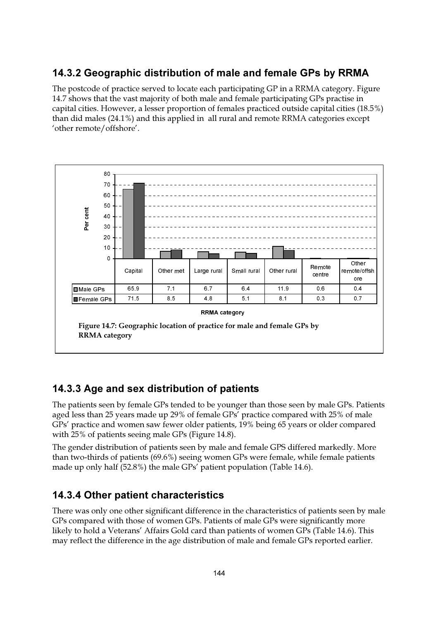## 14.3.2 Geographic distribution of male and female GPs by RRMA

The postcode of practice served to locate each participating GP in a RRMA category. Figure 14.7 shows that the vast majority of both male and female participating GPs practise in capital cities. However, a lesser proportion of females practiced outside capital cities (18.5%) than did males (24.1%) and this applied in all rural and remote RRMA categories except 'other remote/offshore'.



### 14.3.3 Age and sex distribution of patients

The patients seen by female GPs tended to be younger than those seen by male GPs. Patients aged less than 25 years made up 29% of female GPs' practice compared with 25% of male GPs' practice and women saw fewer older patients, 19% being 65 years or older compared with 25% of patients seeing male GPs (Figure 14.8).

The gender distribution of patients seen by male and female GPS differed markedly. More than two-thirds of patients (69.6%) seeing women GPs were female, while female patients made up only half (52.8%) the male GPs' patient population (Table 14.6).

### **14.3.4 Other patient characteristics**

There was only one other significant difference in the characteristics of patients seen by male GPs compared with those of women GPs. Patients of male GPs were significantly more likely to hold a Veterans' Affairs Gold card than patients of women GPs (Table 14.6). This may reflect the difference in the age distribution of male and female GPs reported earlier.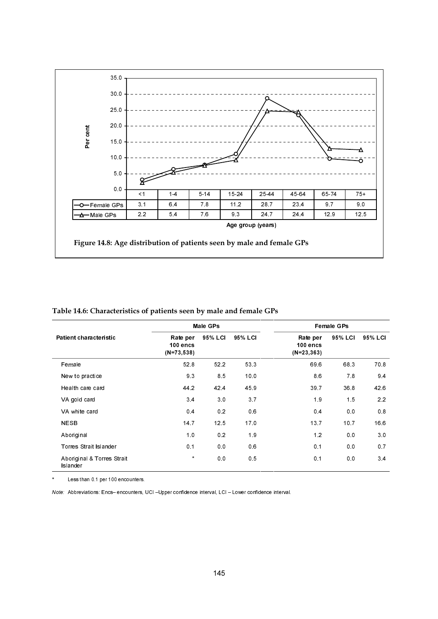

|                                        |                                       | Male GPs       |                | <b>Female GPs</b>                     |         |         |  |
|----------------------------------------|---------------------------------------|----------------|----------------|---------------------------------------|---------|---------|--|
| Patient characteristic                 | Rate per<br>100 encs<br>$(N=73, 538)$ | 95% LCI        | 95% LCI        | Rate per<br>100 encs<br>$(N=23, 363)$ | 95% LCI | 95% LCI |  |
| Female                                 | 52.8                                  | 52.2           | 53.3           | 69.6                                  | 68.3    | 708     |  |
| New to practice                        | 9.3                                   | 85             | 10.0           | 8.6                                   | 78      | 94      |  |
| Health care card                       | 44.2                                  | 42.4           | 45.9           | 39.7                                  | 36.8    | 42.6    |  |
| VA gold card                           | 34                                    | 3 <sub>0</sub> | 3.7            | 1.9                                   | 1.5     | 2.2     |  |
| VA white card                          | 0.4                                   | 0.2            | 0.6            | 0.4                                   | 0.0     | 0.8     |  |
| <b>NESB</b>                            | 14.7                                  | 12.5           | 170            | 13.7                                  | 10.7    | 16.6    |  |
| Aboriginal                             | 1.0                                   | 0.2            | 1.9            | 1.2                                   | 0.0     | 3.0     |  |
| Torres Strait Islander                 | 0.1                                   | 0.0            | 0.6            | 0.1                                   | 0.0     | 0.7     |  |
| Aboriginal & Torres Strait<br>Islander | $\star$                               | 0.0            | 0 <sub>5</sub> | 0.1                                   | 0.0     | 34      |  |

### Table 14.6: Characteristics of patients seen by male and female GPs

Less than 0.1 per 100 encounters.

Note: Abbreviations: Encs- encounters, UCI-Upper confidence interval, LCI-Lower confidence interval.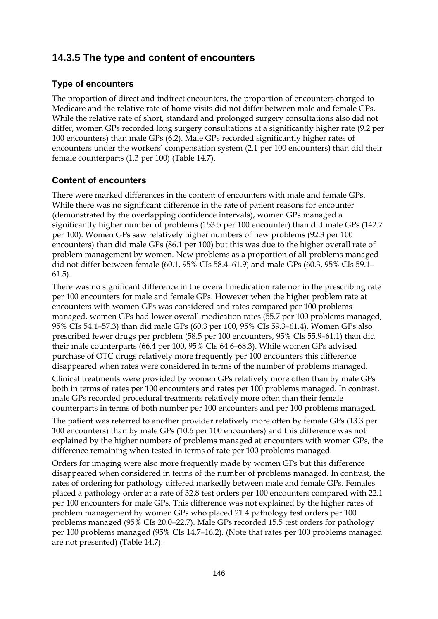### **14.3.5 The type and content of encounters**

### **Type of encounters**

The proportion of direct and indirect encounters, the proportion of encounters charged to Medicare and the relative rate of home visits did not differ between male and female GPs. While the relative rate of short, standard and prolonged surgery consultations also did not differ, women GPs recorded long surgery consultations at a significantly higher rate (9.2 per 100 encounters) than male GPs (6.2). Male GPs recorded significantly higher rates of encounters under the workers' compensation system (2.1 per 100 encounters) than did their female counterparts (1.3 per 100) (Table 14.7).

### **Content of encounters**

There were marked differences in the content of encounters with male and female GPs. While there was no significant difference in the rate of patient reasons for encounter (demonstrated by the overlapping confidence intervals), women GPs managed a significantly higher number of problems (153.5 per 100 encounter) than did male GPs (142.7 per 100). Women GPs saw relatively higher numbers of new problems (92.3 per 100 encounters) than did male GPs (86.1 per 100) but this was due to the higher overall rate of problem management by women. New problems as a proportion of all problems managed did not differ between female (60.1, 95% CIs 58.4–61.9) and male GPs (60.3, 95% CIs 59.1– 61.5).

There was no significant difference in the overall medication rate nor in the prescribing rate per 100 encounters for male and female GPs. However when the higher problem rate at encounters with women GPs was considered and rates compared per 100 problems managed, women GPs had lower overall medication rates (55.7 per 100 problems managed, 95% CIs 54.1–57.3) than did male GPs (60.3 per 100, 95% CIs 59.3–61.4). Women GPs also prescribed fewer drugs per problem (58.5 per 100 encounters, 95% CIs 55.9–61.1) than did their male counterparts (66.4 per 100, 95% CIs 64.6–68.3). While women GPs advised purchase of OTC drugs relatively more frequently per 100 encounters this difference disappeared when rates were considered in terms of the number of problems managed.

Clinical treatments were provided by women GPs relatively more often than by male GPs both in terms of rates per 100 encounters and rates per 100 problems managed. In contrast, male GPs recorded procedural treatments relatively more often than their female counterparts in terms of both number per 100 encounters and per 100 problems managed.

The patient was referred to another provider relatively more often by female GPs (13.3 per 100 encounters) than by male GPs (10.6 per 100 encounters) and this difference was not explained by the higher numbers of problems managed at encounters with women GPs, the difference remaining when tested in terms of rate per 100 problems managed.

Orders for imaging were also more frequently made by women GPs but this difference disappeared when considered in terms of the number of problems managed. In contrast, the rates of ordering for pathology differed markedly between male and female GPs. Females placed a pathology order at a rate of 32.8 test orders per 100 encounters compared with 22.1 per 100 encounters for male GPs. This difference was not explained by the higher rates of problem management by women GPs who placed 21.4 pathology test orders per 100 problems managed (95% CIs 20.0–22.7). Male GPs recorded 15.5 test orders for pathology per 100 problems managed (95% CIs 14.7–16.2). (Note that rates per 100 problems managed are not presented) (Table 14.7).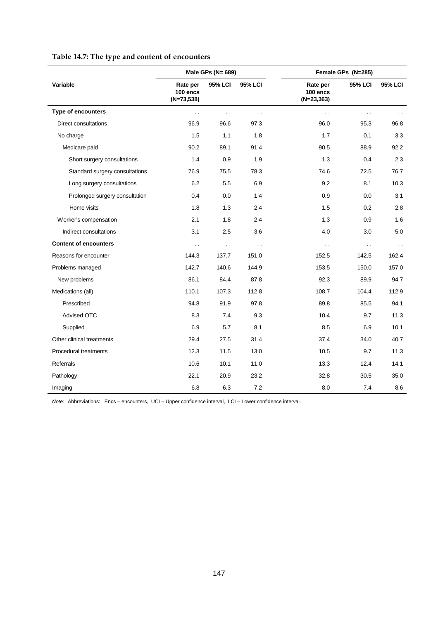| Table 14.7: The type and content of encounters |
|------------------------------------------------|
|------------------------------------------------|

|                                |                                      | Male GPs (N= 689)      |         |                                       | Female GPs (N=285)   |                |
|--------------------------------|--------------------------------------|------------------------|---------|---------------------------------------|----------------------|----------------|
| Variable                       | Rate per<br>100 encs<br>$(N=73,538)$ | 95% LCI                | 95% LCI | Rate per<br>100 encs<br>$(N=23, 363)$ | <b>95% LCI</b>       | <b>95% LCI</b> |
| <b>Type of encounters</b>      | $\sim$                               | $\sim$ $\sim$          | . .     | $\sim$                                | $\ddot{\phantom{0}}$ |                |
| <b>Direct consultations</b>    | 96.9                                 | 96.6                   | 97.3    | 96.0                                  | 95.3                 | 96.8           |
| No charge                      | 1.5                                  | 1.1                    | 1.8     | 1.7                                   | 0.1                  | 3.3            |
| Medicare paid                  | 90.2                                 | 89.1                   | 91.4    | 90.5                                  | 88.9                 | 92.2           |
| Short surgery consultations    | 1.4                                  | 0.9                    | 1.9     | 1.3                                   | 0.4                  | 2.3            |
| Standard surgery consultations | 76.9                                 | 75.5                   | 78.3    | 74.6                                  | 72.5                 | 76.7           |
| Long surgery consultations     | 6.2                                  | 5.5                    | 6.9     | 9.2                                   | 8.1                  | 10.3           |
| Prolonged surgery consultation | 0.4                                  | 0.0                    | 1.4     | 0.9                                   | 0.0                  | 3.1            |
| Home visits                    | 1.8                                  | 1.3                    | 2.4     | 1.5                                   | 0.2                  | 2.8            |
| Worker's compensation          | 2.1                                  | 1.8                    | 2.4     | 1.3                                   | 0.9                  | 1.6            |
| Indirect consultations         | 3.1                                  | 2.5                    | 3.6     | 4.0                                   | 3.0                  | 5.0            |
| <b>Content of encounters</b>   | $\sim$                               | $\ddot{\phantom{1}}$ . | . .     | $\sim$                                | $\sim$ .             | $\sim$ $\sim$  |
| Reasons for encounter          | 144.3                                | 137.7                  | 151.0   | 152.5                                 | 142.5                | 162.4          |
| Problems managed               | 142.7                                | 140.6                  | 144.9   | 153.5                                 | 150.0                | 157.0          |
| New problems                   | 86.1                                 | 84.4                   | 87.8    | 92.3                                  | 89.9                 | 94.7           |
| Medications (all)              | 110.1                                | 107.3                  | 112.8   | 108.7                                 | 104.4                | 112.9          |
| Prescribed                     | 94.8                                 | 91.9                   | 97.8    | 89.8                                  | 85.5                 | 94.1           |
| <b>Advised OTC</b>             | 8.3                                  | 7.4                    | 9.3     | 10.4                                  | 9.7                  | 11.3           |
| Supplied                       | 6.9                                  | 5.7                    | 8.1     | 8.5                                   | 6.9                  | 10.1           |
| Other clinical treatments      | 29.4                                 | 27.5                   | 31.4    | 37.4                                  | 34.0                 | 40.7           |
| Procedural treatments          | 12.3                                 | 11.5                   | 13.0    | 10.5                                  | 9.7                  | 11.3           |
| Referrals                      | 10.6                                 | 10.1                   | 11.0    | 13.3                                  | 12.4                 | 14.1           |
| Pathology                      | 22.1                                 | 20.9                   | 23.2    | 32.8                                  | 30.5                 | 35.0           |
| Imaging                        | 6.8                                  | 6.3                    | 7.2     | 8.0                                   | 7.4                  | 8.6            |

*Note:* Abbreviations: Encs – encounters, UCI – Upper confidence interval, LCI – Lower confidence interval.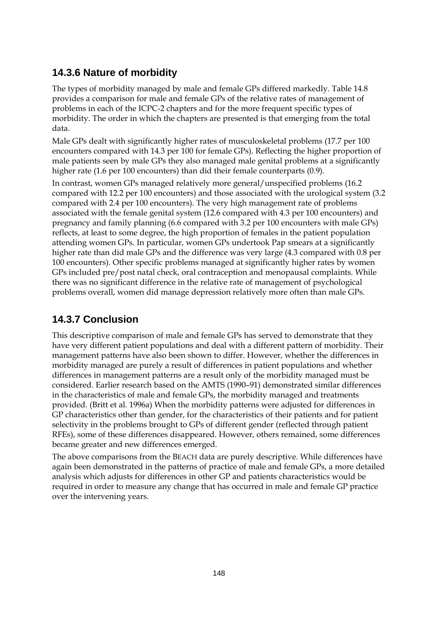## **14.3.6 Nature of morbidity**

The types of morbidity managed by male and female GPs differed markedly. Table 14.8 provides a comparison for male and female GPs of the relative rates of management of problems in each of the ICPC-2 chapters and for the more frequent specific types of morbidity. The order in which the chapters are presented is that emerging from the total data.

Male GPs dealt with significantly higher rates of musculoskeletal problems (17.7 per 100 encounters compared with 14.3 per 100 for female GPs). Reflecting the higher proportion of male patients seen by male GPs they also managed male genital problems at a significantly higher rate (1.6 per 100 encounters) than did their female counterparts (0.9).

In contrast, women GPs managed relatively more general/unspecified problems (16.2 compared with 12.2 per 100 encounters) and those associated with the urological system (3.2 compared with 2.4 per 100 encounters). The very high management rate of problems associated with the female genital system (12.6 compared with 4.3 per 100 encounters) and pregnancy and family planning (6.6 compared with 3.2 per 100 encounters with male GPs) reflects, at least to some degree, the high proportion of females in the patient population attending women GPs. In particular, women GPs undertook Pap smears at a significantly higher rate than did male GPs and the difference was very large (4.3 compared with 0.8 per 100 encounters). Other specific problems managed at significantly higher rates by women GPs included pre/post natal check, oral contraception and menopausal complaints. While there was no significant difference in the relative rate of management of psychological problems overall, women did manage depression relatively more often than male GPs.

## **14.3.7 Conclusion**

This descriptive comparison of male and female GPs has served to demonstrate that they have very different patient populations and deal with a different pattern of morbidity. Their management patterns have also been shown to differ. However, whether the differences in morbidity managed are purely a result of differences in patient populations and whether differences in management patterns are a result only of the morbidity managed must be considered. Earlier research based on the AMTS (1990–91) demonstrated similar differences in the characteristics of male and female GPs, the morbidity managed and treatments provided. (Britt et al. 1996a) When the morbidity patterns were adjusted for differences in GP characteristics other than gender, for the characteristics of their patients and for patient selectivity in the problems brought to GPs of different gender (reflected through patient RFEs), some of these differences disappeared. However, others remained, some differences became greater and new differences emerged.

The above comparisons from the BEACH data are purely descriptive. While differences have again been demonstrated in the patterns of practice of male and female GPs, a more detailed analysis which adjusts for differences in other GP and patients characteristics would be required in order to measure any change that has occurred in male and female GP practice over the intervening years.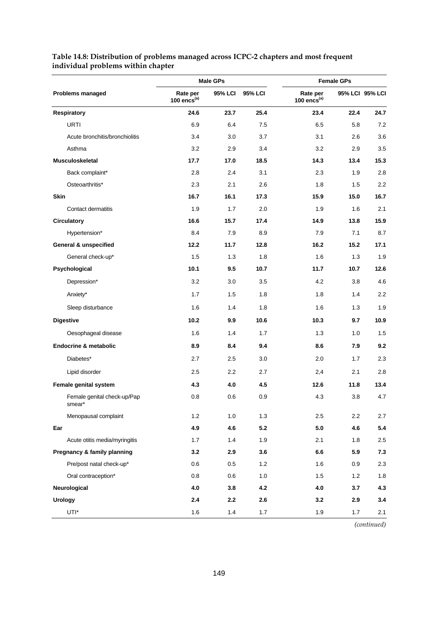|                                       |                              | <b>Male GPs</b> |                | <b>Female GPs</b>            |       |                 |  |
|---------------------------------------|------------------------------|-----------------|----------------|------------------------------|-------|-----------------|--|
| <b>Problems managed</b>               | Rate per<br>100 $encs^{(a)}$ | <b>95% LCI</b>  | <b>95% LCI</b> | Rate per<br>100 $encs^{(a)}$ |       | 95% LCI 95% LCI |  |
| <b>Respiratory</b>                    | 24.6                         | 23.7            | 25.4           | 23.4                         | 22.4  | 24.7            |  |
| URTI                                  | 6.9                          | 6.4             | 7.5            | 6.5                          | 5.8   | 7.2             |  |
| Acute bronchitis/bronchiolitis        | 3.4                          | 3.0             | 3.7            | 3.1                          | 2.6   | 3.6             |  |
| Asthma                                | 3.2                          | 2.9             | 3.4            | 3.2                          | 2.9   | 3.5             |  |
| <b>Musculoskeletal</b>                | 17.7                         | 17.0            | 18.5           | 14.3                         | 13.4  | 15.3            |  |
| Back complaint*                       | 2.8                          | 2.4             | 3.1            | 2.3                          | 1.9   | 2.8             |  |
| Osteoarthritis*                       | 2.3                          | 2.1             | 2.6            | 1.8                          | 1.5   | 2.2             |  |
| <b>Skin</b>                           | 16.7                         | 16.1            | 17.3           | 15.9                         | 15.0  | 16.7            |  |
| Contact dermatitis                    | 1.9                          | 1.7             | 2.0            | 1.9                          | 1.6   | 2.1             |  |
| <b>Circulatory</b>                    | 16.6                         | 15.7            | 17.4           | 14.9                         | 13.8  | 15.9            |  |
| Hypertension*                         | 8.4                          | 7.9             | 8.9            | 7.9                          | 7.1   | 8.7             |  |
| <b>General &amp; unspecified</b>      | 12.2                         | 11.7            | 12.8           | 16.2                         | 15.2  | 17.1            |  |
| General check-up*                     | 1.5                          | 1.3             | 1.8            | 1.6                          | 1.3   | 1.9             |  |
| Psychological                         | 10.1                         | 9.5             | 10.7           | 11.7                         | 10.7  | 12.6            |  |
| Depression*                           | 3.2                          | 3.0             | 3.5            | 4.2                          | 3.8   | 4.6             |  |
| Anxiety*                              | 1.7                          | 1.5             | 1.8            | 1.8                          | 1.4   | 2.2             |  |
| Sleep disturbance                     | 1.6                          | 1.4             | 1.8            | 1.6                          | 1.3   | 1.9             |  |
| <b>Digestive</b>                      | 10.2                         | 9.9             | 10.6           | 10.3                         | 9.7   | 10.9            |  |
| Oesophageal disease                   | 1.6                          | 1.4             | 1.7            | 1.3                          | 1.0   | 1.5             |  |
| <b>Endocrine &amp; metabolic</b>      | 8.9                          | 8.4             | 9.4            | 8.6                          | 7.9   | 9.2             |  |
| Diabetes*                             | 2.7                          | 2.5             | 3.0            | 2.0                          | 1.7   | 2.3             |  |
| Lipid disorder                        | 2.5                          | 2.2             | 2.7            | 2,4                          | 2.1   | 2.8             |  |
| Female genital system                 | 4.3                          | 4.0             | 4.5            | 12.6                         | 11.8  | 13.4            |  |
| Female genital check-up/Pap<br>smear* | 0.8                          | 0.6             | 0.9            | 4.3                          | 3.8   | 4.7             |  |
| Menopausal complaint                  | $1.2$                        | 1.0             | 1.3            | 2.5                          | 2.2   | 2.7             |  |
| Ear                                   | 4.9                          | 4.6             | 5.2            | 5.0                          | 4.6   | 5.4             |  |
| Acute otitis media/myringitis         | 1.7                          | 1.4             | 1.9            | 2.1                          | 1.8   | 2.5             |  |
| Pregnancy & family planning           | 3.2                          | 2.9             | 3.6            | 6.6                          | 5.9   | 7.3             |  |
| Pre/post natal check-up*              | 0.6                          | 0.5             | 1.2            | 1.6                          | 0.9   | 2.3             |  |
| Oral contraception*                   | 0.8                          | 0.6             | 1.0            | 1.5                          | 1.2   | 1.8             |  |
| Neurological                          | 4.0                          | 3.8             | 4.2            | 4.0                          | 3.7   | 4.3             |  |
| <b>Urology</b>                        | 2.4                          | 2.2             | 2.6            | 3.2                          | 2.9   | 3.4             |  |
| UTI*                                  | 1.6                          | 1.4             | 1.7            | 1.9                          | $1.7$ | 2.1             |  |

### **Table 14.8: Distribution of problems managed across ICPC-2 chapters and most frequent individual problems within chapter**

*(continued)*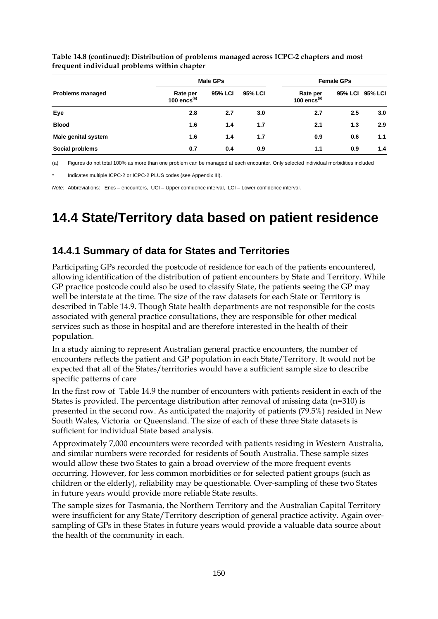|                         |                            | Male GPs | <b>Female GPs</b> |                              |     |                 |
|-------------------------|----------------------------|----------|-------------------|------------------------------|-----|-----------------|
| <b>Problems managed</b> | Rate per<br>100 encs $(a)$ | 95% LCI  | <b>95% LCI</b>    | Rate per<br>100 $encs^{(a)}$ |     | 95% LCI 95% LCI |
| Eye                     | 2.8                        | 2.7      | 3.0               | 2.7                          | 2.5 | 3.0             |
| <b>Blood</b>            | 1.6                        | 1.4      | 1.7               | 2.1                          | 1.3 | 2.9             |
| Male genital system     | 1.6                        | 1.4      | 1.7               | 0.9                          | 0.6 | 1.1             |
| Social problems         | 0.7                        | 0.4      | 0.9               | 1.1                          | 0.9 | 1.4             |

**Table 14.8 (continued): Distribution of problems managed across ICPC-2 chapters and most frequent individual problems within chapter**

(a) Figures do not total 100% as more than one problem can be managed at each encounter. Only selected individual morbidities included

Indicates multiple ICPC-2 or ICPC-2 PLUS codes (see Appendix III).

*Note:* Abbreviations: Encs – encounters, UCI – Upper confidence interval, LCI – Lower confidence interval.

## **14.4 State/Territory data based on patient residence**

### **14.4.1 Summary of data for States and Territories**

Participating GPs recorded the postcode of residence for each of the patients encountered, allowing identification of the distribution of patient encounters by State and Territory. While GP practice postcode could also be used to classify State, the patients seeing the GP may well be interstate at the time. The size of the raw datasets for each State or Territory is described in Table 14.9. Though State health departments are not responsible for the costs associated with general practice consultations, they are responsible for other medical services such as those in hospital and are therefore interested in the health of their population.

In a study aiming to represent Australian general practice encounters, the number of encounters reflects the patient and GP population in each State/Territory. It would not be expected that all of the States/territories would have a sufficient sample size to describe specific patterns of care

In the first row of Table 14.9 the number of encounters with patients resident in each of the States is provided. The percentage distribution after removal of missing data (n=310) is presented in the second row. As anticipated the majority of patients (79.5%) resided in New South Wales, Victoria or Queensland. The size of each of these three State datasets is sufficient for individual State based analysis.

Approximately 7,000 encounters were recorded with patients residing in Western Australia, and similar numbers were recorded for residents of South Australia. These sample sizes would allow these two States to gain a broad overview of the more frequent events occurring. However, for less common morbidities or for selected patient groups (such as children or the elderly), reliability may be questionable. Over-sampling of these two States in future years would provide more reliable State results.

The sample sizes for Tasmania, the Northern Territory and the Australian Capital Territory were insufficient for any State/Territory description of general practice activity. Again oversampling of GPs in these States in future years would provide a valuable data source about the health of the community in each.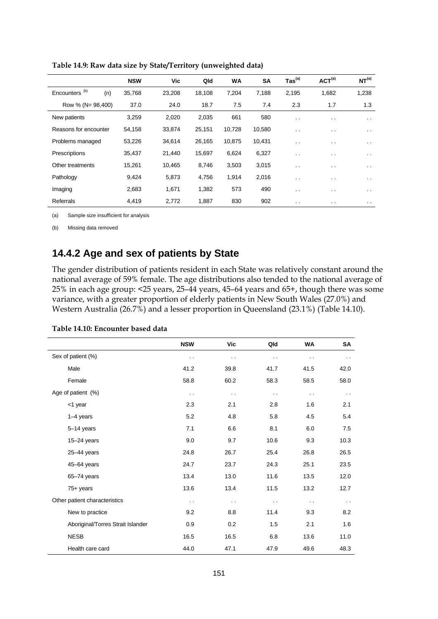|                                  | <b>NSW</b> | Vic    | Qld    | <b>WA</b> | <b>SA</b> | $\mathsf{ Tas}^{\mathsf{(a)}}$ | ACT <sup>(a)</sup> | NT <sup>(a)</sup> |
|----------------------------------|------------|--------|--------|-----------|-----------|--------------------------------|--------------------|-------------------|
| Encounters <sup>(b)</sup><br>(n) | 35,768     | 23,208 | 18,108 | 7,204     | 7,188     | 2,195                          | 1,682              | 1,238             |
| Row % (N= 98,400)                | 37.0       | 24.0   | 18.7   | 7.5       | 7.4       | 2.3                            | 1.7                | 1.3               |
| New patients                     | 3,259      | 2,020  | 2,035  | 661       | 580       | $\sim$ $\sim$                  | $\sim$ $\sim$      | . .               |
| Reasons for encounter            | 54,158     | 33,874 | 25,151 | 10,728    | 10,580    | $\sim$ $\sim$                  | $\cdot$ .          | . .               |
| Problems managed                 | 53,226     | 34,614 | 26,165 | 10,875    | 10,431    | $\sim$ $\sim$                  | $\sim$             | . .               |
| Prescriptions                    | 35,437     | 21,440 | 15,697 | 6,624     | 6,327     | $\cdot$ .                      | $\cdot$ $\cdot$    | $\sim$            |
| Other treatments                 | 15,261     | 10,465 | 8,746  | 3,503     | 3,015     | $\cdot$ $\cdot$                | $\cdot$ .          | . .               |
| Pathology                        | 9,424      | 5,873  | 4,756  | 1,914     | 2,016     | $\cdot$ $\cdot$                | $\cdot$ .          | $\sim$            |
| Imaging                          | 2,683      | 1,671  | 1,382  | 573       | 490       | $\ddot{\phantom{a}}$           | $\sim$ $\sim$      | . .               |
| Referrals                        | 4,419      | 2,772  | 1,887  | 830       | 902       | $\cdot$ $\cdot$                | $\sim$ $\sim$      | . .               |

**Table 14.9: Raw data size by State/Territory (unweighted data)**

(a) Sample size insufficient for analysis

(b) Missing data removed

### **14.4.2 Age and sex of patients by State**

The gender distribution of patients resident in each State was relatively constant around the national average of 59% female. The age distributions also tended to the national average of 25% in each age group: <25 years, 25–44 years, 45–64 years and 65+, though there was some variance, with a greater proportion of elderly patients in New South Wales (27.0%) and Western Australia (26.7%) and a lesser proportion in Queensland (23.1%) (Table 14.10).

|                                   | <b>NSW</b>    | Vic                  | Qld                  | WA                   | <b>SA</b>            |
|-----------------------------------|---------------|----------------------|----------------------|----------------------|----------------------|
| Sex of patient (%)                | .,            | .,                   | .,                   | $\ddot{\phantom{0}}$ | $\ddot{\phantom{1}}$ |
| Male                              | 41.2          | 39.8                 | 41.7                 | 41.5                 | 42.0                 |
| Female                            | 58.8          | 60.2                 | 58.3                 | 58.5                 | 58.0                 |
| Age of patient (%)                | $\sim$ $\sim$ | $\ddot{\phantom{0}}$ | $\ddot{\phantom{a}}$ | $\sim$ $\sim$        | $\ddot{\phantom{0}}$ |
| <1 year                           | 2.3           | 2.1                  | 2.8                  | 1.6                  | 2.1                  |
| $1-4$ years                       | 5.2           | 4.8                  | 5.8                  | 4.5                  | 5.4                  |
| 5-14 years                        | 7.1           | 6.6                  | 8.1                  | 6.0                  | 7.5                  |
| 15-24 years                       | 9.0           | 9.7                  | 10.6                 | 9.3                  | 10.3                 |
| 25-44 years                       | 24.8          | 26.7                 | 25.4                 | 26.8                 | 26.5                 |
| 45-64 years                       | 24.7          | 23.7                 | 24.3                 | 25.1                 | 23.5                 |
| $65 - 74$ years                   | 13.4          | 13.0                 | 11.6                 | 13.5                 | 12.0                 |
| $75+$ years                       | 13.6          | 13.4                 | 11.5                 | 13.2                 | 12.7                 |
| Other patient characteristics     | $\sim$ $\sim$ | $\ddot{\phantom{0}}$ | $\ddot{\phantom{a}}$ | $\sim$ $\sim$        | $\ddot{\phantom{0}}$ |
| New to practice                   | 9.2           | 8.8                  | 11.4                 | 9.3                  | 8.2                  |
| Aboriginal/Torres Strait Islander | 0.9           | 0.2                  | 1.5                  | 2.1                  | 1.6                  |
| <b>NESB</b>                       | 16.5          | 16.5                 | 6.8                  | 13.6                 | 11.0                 |
| Health care card                  | 44.0          | 47.1                 | 47.9                 | 49.6                 | 48.3                 |

**Table 14.10: Encounter based data**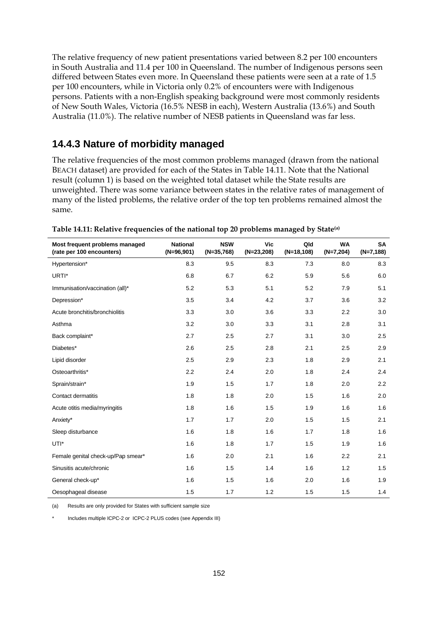The relative frequency of new patient presentations varied between 8.2 per 100 encounters in South Australia and 11.4 per 100 in Queensland. The number of Indigenous persons seen differed between States even more. In Queensland these patients were seen at a rate of 1.5 per 100 encounters, while in Victoria only 0.2% of encounters were with Indigenous persons. Patients with a non-English speaking background were most commonly residents of New South Wales, Victoria (16.5% NESB in each), Western Australia (13.6%) and South Australia (11.0%). The relative number of NESB patients in Queensland was far less.

### **14.4.3 Nature of morbidity managed**

The relative frequencies of the most common problems managed (drawn from the national BEACH dataset) are provided for each of the States in Table 14.11. Note that the National result (column 1) is based on the weighted total dataset while the State results are unweighted. There was some variance between states in the relative rates of management of many of the listed problems, the relative order of the top ten problems remained almost the same.

| Most frequent problems managed<br>(rate per 100 encounters) | <b>National</b><br>$(N=96,901)$ | <b>NSW</b><br>$(N=35,768)$ | Vic<br>$(N=23,208)$ | Qld<br>$(N=18,108)$ | <b>WA</b><br>$(N=7,204)$ | SA<br>$(N=7,188)$ |
|-------------------------------------------------------------|---------------------------------|----------------------------|---------------------|---------------------|--------------------------|-------------------|
| Hypertension*                                               | 8.3                             | 9.5                        | 8.3                 | 7.3                 | 8.0                      | 8.3               |
| URTI*                                                       | 6.8                             | 6.7                        | 6.2                 | 5.9                 | 5.6                      | 6.0               |
| Immunisation/vaccination (all)*                             | 5.2                             | 5.3                        | 5.1                 | 5.2                 | 7.9                      | 5.1               |
| Depression*                                                 | 3.5                             | 3.4                        | 4.2                 | 3.7                 | 3.6                      | 3.2               |
| Acute bronchitis/bronchiolitis                              | 3.3                             | 3.0                        | 3.6                 | 3.3                 | 2.2                      | 3.0               |
| Asthma                                                      | 3.2                             | 3.0                        | 3.3                 | 3.1                 | 2.8                      | 3.1               |
| Back complaint*                                             | 2.7                             | 2.5                        | 2.7                 | 3.1                 | 3.0                      | 2.5               |
| Diabetes*                                                   | 2.6                             | 2.5                        | 2.8                 | 2.1                 | 2.5                      | 2.9               |
| Lipid disorder                                              | 2.5                             | 2.9                        | 2.3                 | 1.8                 | 2.9                      | 2.1               |
| Osteoarthritis*                                             | 2.2                             | 2.4                        | 2.0                 | 1.8                 | 2.4                      | 2.4               |
| Sprain/strain*                                              | 1.9                             | 1.5                        | 1.7                 | 1.8                 | 2.0                      | 2.2               |
| Contact dermatitis                                          | 1.8                             | 1.8                        | 2.0                 | 1.5                 | 1.6                      | 2.0               |
| Acute otitis media/myringitis                               | 1.8                             | 1.6                        | 1.5                 | 1.9                 | 1.6                      | 1.6               |
| Anxiety*                                                    | 1.7                             | 1.7                        | 2.0                 | 1.5                 | 1.5                      | 2.1               |
| Sleep disturbance                                           | 1.6                             | 1.8                        | 1.6                 | 1.7                 | 1.8                      | 1.6               |
| UTI*                                                        | 1.6                             | 1.8                        | 1.7                 | 1.5                 | 1.9                      | 1.6               |
| Female genital check-up/Pap smear*                          | 1.6                             | 2.0                        | 2.1                 | 1.6                 | 2.2                      | 2.1               |
| Sinusitis acute/chronic                                     | 1.6                             | 1.5                        | 1.4                 | 1.6                 | 1.2                      | 1.5               |
| General check-up*                                           | 1.6                             | 1.5                        | 1.6                 | 2.0                 | 1.6                      | 1.9               |
| Oesophageal disease                                         | 1.5                             | 1.7                        | 1.2                 | 1.5                 | 1.5                      | 1.4               |

**Table 14.11: Relative frequencies of the national top 20 problems managed by State(a)**

(a) Results are only provided for States with sufficient sample size

Includes multiple ICPC-2 or ICPC-2 PLUS codes (see Appendix III)